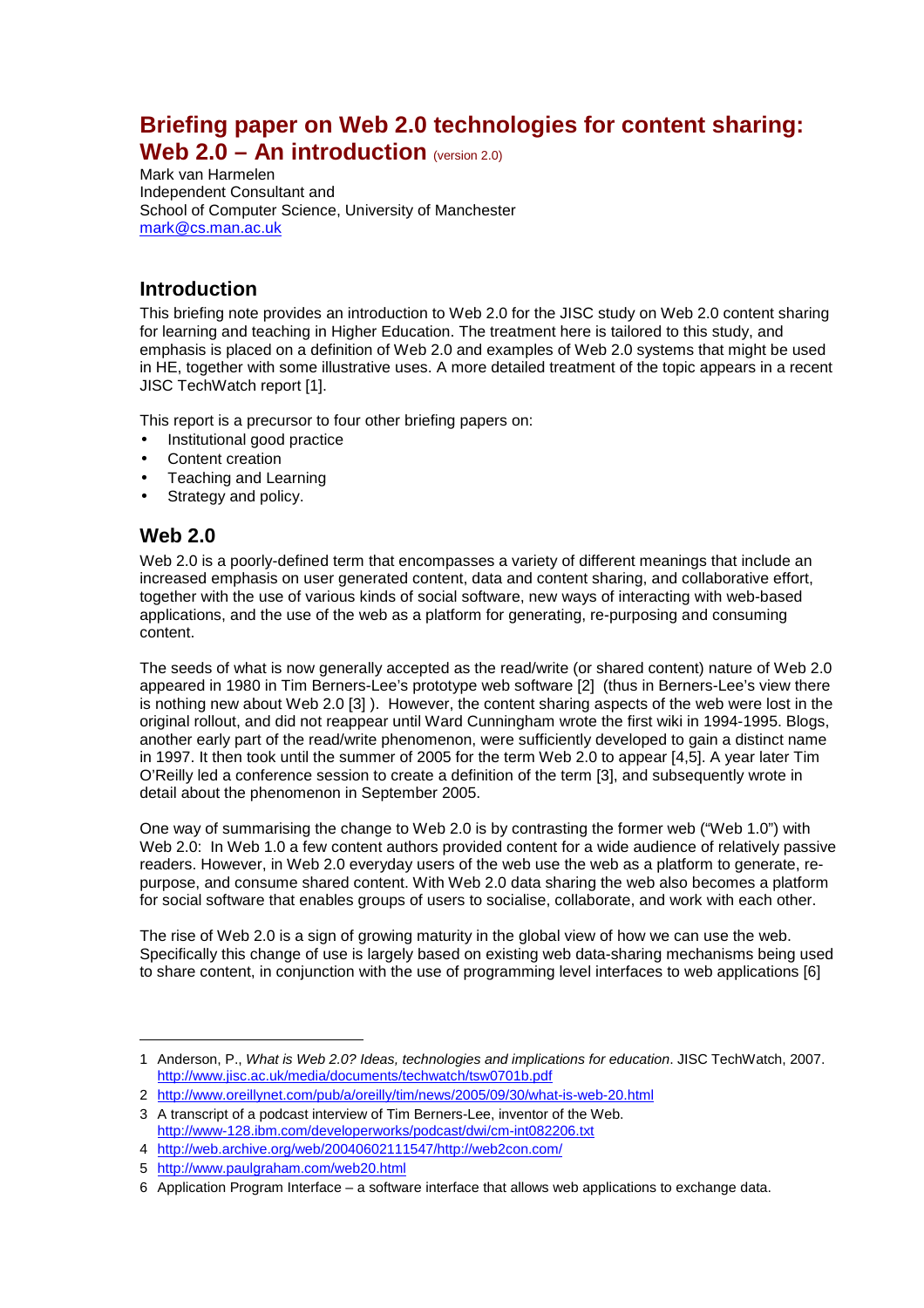# **Briefing paper on Web 2.0 technologies for content sharing: Web 2.0 – An introduction** (version 2.0)

Mark van Harmelen Independent Consultant and School of Computer Science, University of Manchester mark@cs.man.ac.uk

## **Introduction**

This briefing note provides an introduction to Web 2.0 for the JISC study on Web 2.0 content sharing for learning and teaching in Higher Education. The treatment here is tailored to this study, and emphasis is placed on a definition of Web 2.0 and examples of Web 2.0 systems that might be used in HE, together with some illustrative uses. A more detailed treatment of the topic appears in a recent JISC TechWatch report [1].

This report is a precursor to four other briefing papers on:

- Institutional good practice
- Content creation
- Teaching and Learning
- Strategy and policy.

## **Web 2.0**

 $\overline{a}$ 

Web 2.0 is a poorly-defined term that encompasses a variety of different meanings that include an increased emphasis on user generated content, data and content sharing, and collaborative effort, together with the use of various kinds of social software, new ways of interacting with web-based applications, and the use of the web as a platform for generating, re-purposing and consuming content.

The seeds of what is now generally accepted as the read/write (or shared content) nature of Web 2.0 appeared in 1980 in Tim Berners-Lee's prototype web software [2] (thus in Berners-Lee's view there is nothing new about Web 2.0 [3] ). However, the content sharing aspects of the web were lost in the original rollout, and did not reappear until Ward Cunningham wrote the first wiki in 1994-1995. Blogs, another early part of the read/write phenomenon, were sufficiently developed to gain a distinct name in 1997. It then took until the summer of 2005 for the term Web 2.0 to appear [4,5]. A year later Tim O'Reilly led a conference session to create a definition of the term [3], and subsequently wrote in detail about the phenomenon in September 2005.

One way of summarising the change to Web 2.0 is by contrasting the former web ("Web 1.0") with Web 2.0: In Web 1.0 a few content authors provided content for a wide audience of relatively passive readers. However, in Web 2.0 everyday users of the web use the web as a platform to generate, repurpose, and consume shared content. With Web 2.0 data sharing the web also becomes a platform for social software that enables groups of users to socialise, collaborate, and work with each other.

The rise of Web 2.0 is a sign of growing maturity in the global view of how we can use the web. Specifically this change of use is largely based on existing web data-sharing mechanisms being used to share content, in conjunction with the use of programming level interfaces to web applications [6]

<sup>1</sup> Anderson, P., What is Web 2.0? Ideas, technologies and implications for education. JISC TechWatch, 2007. http://www.jisc.ac.uk/media/documents/techwatch/tsw0701b.pdf

<sup>2</sup> http://www.oreillynet.com/pub/a/oreilly/tim/news/2005/09/30/what-is-web-20.html

<sup>3</sup> A transcript of a podcast interview of Tim Berners-Lee, inventor of the Web. http://www-128.ibm.com/developerworks/podcast/dwi/cm-int082206.txt

<sup>4</sup> http://web.archive.org/web/20040602111547/http://web2con.com/

<sup>5</sup> http://www.paulgraham.com/web20.html

<sup>6</sup> Application Program Interface – a software interface that allows web applications to exchange data.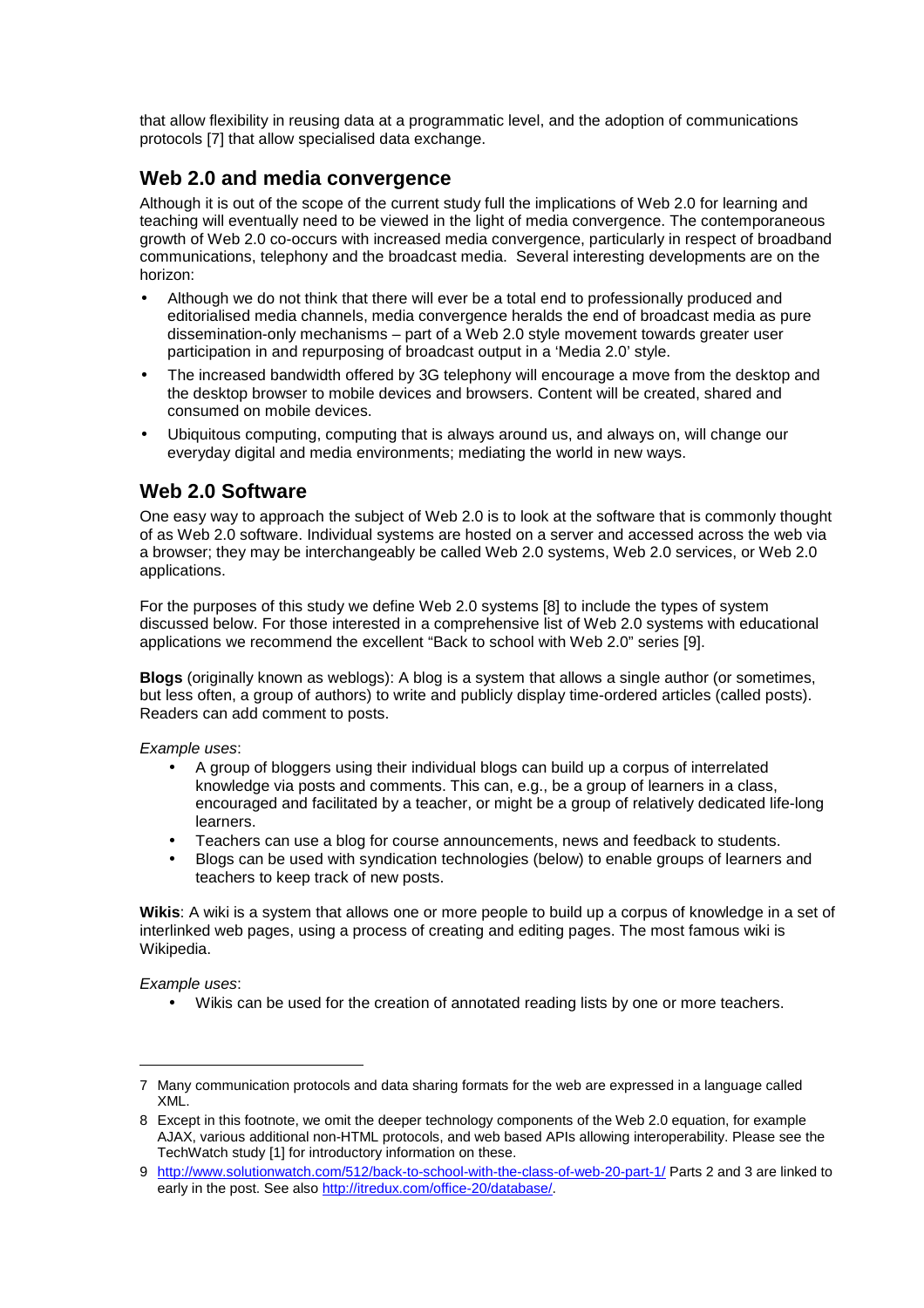that allow flexibility in reusing data at a programmatic level, and the adoption of communications protocols [7] that allow specialised data exchange.

## **Web 2.0 and media convergence**

Although it is out of the scope of the current study full the implications of Web 2.0 for learning and teaching will eventually need to be viewed in the light of media convergence. The contemporaneous growth of Web 2.0 co-occurs with increased media convergence, particularly in respect of broadband communications, telephony and the broadcast media. Several interesting developments are on the horizon:

- Although we do not think that there will ever be a total end to professionally produced and editorialised media channels, media convergence heralds the end of broadcast media as pure dissemination-only mechanisms – part of a Web 2.0 style movement towards greater user participation in and repurposing of broadcast output in a 'Media 2.0' style.
- The increased bandwidth offered by 3G telephony will encourage a move from the desktop and the desktop browser to mobile devices and browsers. Content will be created, shared and consumed on mobile devices.
- Ubiquitous computing, computing that is always around us, and always on, will change our everyday digital and media environments; mediating the world in new ways.

## **Web 2.0 Software**

One easy way to approach the subject of Web 2.0 is to look at the software that is commonly thought of as Web 2.0 software. Individual systems are hosted on a server and accessed across the web via a browser; they may be interchangeably be called Web 2.0 systems, Web 2.0 services, or Web 2.0 applications.

For the purposes of this study we define Web 2.0 systems [8] to include the types of system discussed below. For those interested in a comprehensive list of Web 2.0 systems with educational applications we recommend the excellent "Back to school with Web 2.0" series [9].

**Blogs** (originally known as weblogs): A blog is a system that allows a single author (or sometimes, but less often, a group of authors) to write and publicly display time-ordered articles (called posts). Readers can add comment to posts.

Example uses:

- A group of bloggers using their individual blogs can build up a corpus of interrelated knowledge via posts and comments. This can, e.g., be a group of learners in a class, encouraged and facilitated by a teacher, or might be a group of relatively dedicated life-long learners.
- Teachers can use a blog for course announcements, news and feedback to students.
- Blogs can be used with syndication technologies (below) to enable groups of learners and teachers to keep track of new posts.

**Wikis**: A wiki is a system that allows one or more people to build up a corpus of knowledge in a set of interlinked web pages, using a process of creating and editing pages. The most famous wiki is Wikipedia.

Example uses:

 $\overline{a}$ 

• Wikis can be used for the creation of annotated reading lists by one or more teachers.

<sup>7</sup> Many communication protocols and data sharing formats for the web are expressed in a language called XML.

<sup>8</sup> Except in this footnote, we omit the deeper technology components of the Web 2.0 equation, for example AJAX, various additional non-HTML protocols, and web based APIs allowing interoperability. Please see the TechWatch study [1] for introductory information on these.

<sup>9</sup> http://www.solutionwatch.com/512/back-to-school-with-the-class-of-web-20-part-1/ Parts 2 and 3 are linked to early in the post. See also http://itredux.com/office-20/database/.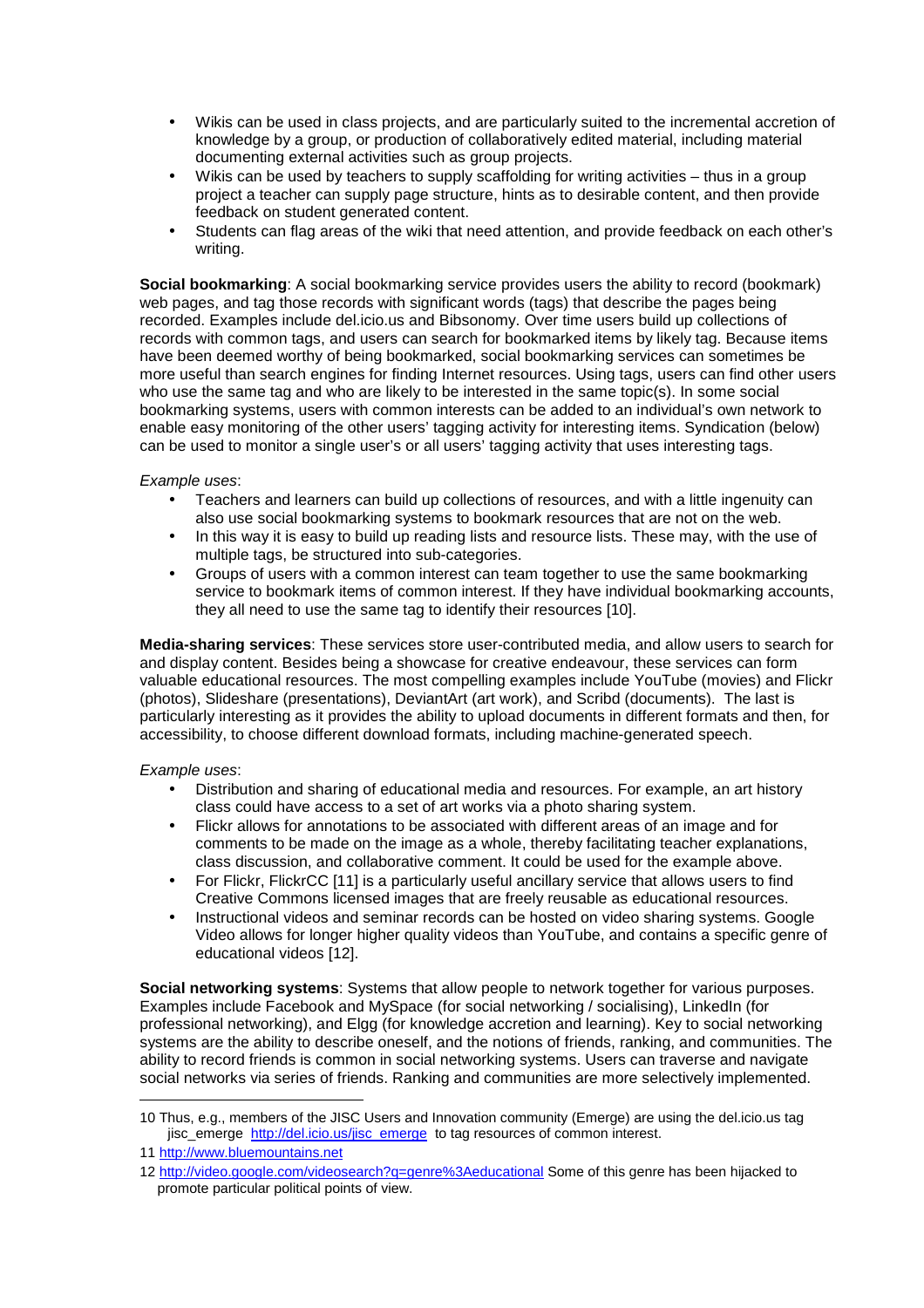- Wikis can be used in class projects, and are particularly suited to the incremental accretion of knowledge by a group, or production of collaboratively edited material, including material documenting external activities such as group projects.
- Wikis can be used by teachers to supply scaffolding for writing activities thus in a group project a teacher can supply page structure, hints as to desirable content, and then provide feedback on student generated content.
- Students can flag areas of the wiki that need attention, and provide feedback on each other's writing.

**Social bookmarking**: A social bookmarking service provides users the ability to record (bookmark) web pages, and tag those records with significant words (tags) that describe the pages being recorded. Examples include del.icio.us and Bibsonomy. Over time users build up collections of records with common tags, and users can search for bookmarked items by likely tag. Because items have been deemed worthy of being bookmarked, social bookmarking services can sometimes be more useful than search engines for finding Internet resources. Using tags, users can find other users who use the same tag and who are likely to be interested in the same topic(s). In some social bookmarking systems, users with common interests can be added to an individual's own network to enable easy monitoring of the other users' tagging activity for interesting items. Syndication (below) can be used to monitor a single user's or all users' tagging activity that uses interesting tags.

#### Example uses:

- Teachers and learners can build up collections of resources, and with a little ingenuity can also use social bookmarking systems to bookmark resources that are not on the web.
- In this way it is easy to build up reading lists and resource lists. These may, with the use of multiple tags, be structured into sub-categories.
- Groups of users with a common interest can team together to use the same bookmarking service to bookmark items of common interest. If they have individual bookmarking accounts, they all need to use the same tag to identify their resources [10].

**Media-sharing services**: These services store user-contributed media, and allow users to search for and display content. Besides being a showcase for creative endeavour, these services can form valuable educational resources. The most compelling examples include YouTube (movies) and Flickr (photos), Slideshare (presentations), DeviantArt (art work), and Scribd (documents). The last is particularly interesting as it provides the ability to upload documents in different formats and then, for accessibility, to choose different download formats, including machine-generated speech.

#### Example uses:

- Distribution and sharing of educational media and resources. For example, an art history class could have access to a set of art works via a photo sharing system.
- Flickr allows for annotations to be associated with different areas of an image and for comments to be made on the image as a whole, thereby facilitating teacher explanations, class discussion, and collaborative comment. It could be used for the example above.
- For Flickr, FlickrCC [11] is a particularly useful ancillary service that allows users to find Creative Commons licensed images that are freely reusable as educational resources.
- Instructional videos and seminar records can be hosted on video sharing systems. Google Video allows for longer higher quality videos than YouTube, and contains a specific genre of educational videos [12].

**Social networking systems**: Systems that allow people to network together for various purposes. Examples include Facebook and MySpace (for social networking / socialising), LinkedIn (for professional networking), and Elgg (for knowledge accretion and learning). Key to social networking systems are the ability to describe oneself, and the notions of friends, ranking, and communities. The ability to record friends is common in social networking systems. Users can traverse and navigate social networks via series of friends. Ranking and communities are more selectively implemented.

 $\overline{a}$ 

<sup>10</sup> Thus, e.g., members of the JISC Users and Innovation community (Emerge) are using the del.icio.us tag jisc\_emerge http://del.icio.us/jisc\_emerge to tag resources of common interest.

<sup>11</sup> http://www.bluemountains.net

<sup>12</sup> http://video.google.com/videosearch?q=genre%3Aeducational Some of this genre has been hijacked to promote particular political points of view.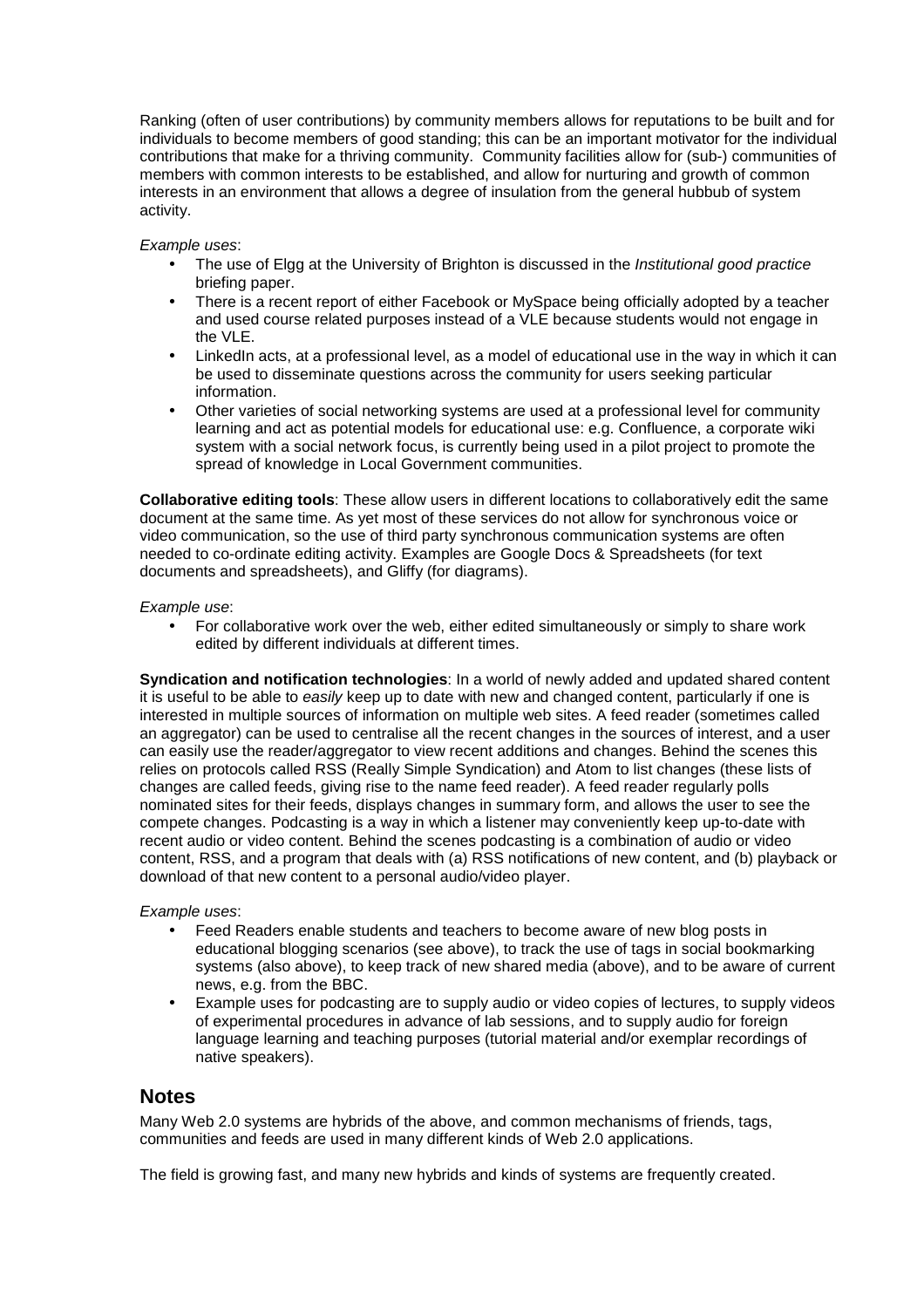Ranking (often of user contributions) by community members allows for reputations to be built and for individuals to become members of good standing; this can be an important motivator for the individual contributions that make for a thriving community. Community facilities allow for (sub-) communities of members with common interests to be established, and allow for nurturing and growth of common interests in an environment that allows a degree of insulation from the general hubbub of system activity.

#### Example uses:

- The use of Elgg at the University of Brighton is discussed in the *Institutional good practice* briefing paper.
- There is a recent report of either Facebook or MySpace being officially adopted by a teacher and used course related purposes instead of a VLE because students would not engage in the VLE.
- LinkedIn acts, at a professional level, as a model of educational use in the way in which it can be used to disseminate questions across the community for users seeking particular information.
- Other varieties of social networking systems are used at a professional level for community learning and act as potential models for educational use: e.g. Confluence, a corporate wiki system with a social network focus, is currently being used in a pilot project to promote the spread of knowledge in Local Government communities.

**Collaborative editing tools**: These allow users in different locations to collaboratively edit the same document at the same time. As yet most of these services do not allow for synchronous voice or video communication, so the use of third party synchronous communication systems are often needed to co-ordinate editing activity. Examples are Google Docs & Spreadsheets (for text documents and spreadsheets), and Gliffy (for diagrams).

#### Example use:

• For collaborative work over the web, either edited simultaneously or simply to share work edited by different individuals at different times.

**Syndication and notification technologies**: In a world of newly added and updated shared content it is useful to be able to easily keep up to date with new and changed content, particularly if one is interested in multiple sources of information on multiple web sites. A feed reader (sometimes called an aggregator) can be used to centralise all the recent changes in the sources of interest, and a user can easily use the reader/aggregator to view recent additions and changes. Behind the scenes this relies on protocols called RSS (Really Simple Syndication) and Atom to list changes (these lists of changes are called feeds, giving rise to the name feed reader). A feed reader regularly polls nominated sites for their feeds, displays changes in summary form, and allows the user to see the compete changes. Podcasting is a way in which a listener may conveniently keep up-to-date with recent audio or video content. Behind the scenes podcasting is a combination of audio or video content, RSS, and a program that deals with (a) RSS notifications of new content, and (b) playback or download of that new content to a personal audio/video player.

#### Example uses:

- Feed Readers enable students and teachers to become aware of new blog posts in educational blogging scenarios (see above), to track the use of tags in social bookmarking systems (also above), to keep track of new shared media (above), and to be aware of current news, e.g. from the BBC.
- Example uses for podcasting are to supply audio or video copies of lectures, to supply videos of experimental procedures in advance of lab sessions, and to supply audio for foreign language learning and teaching purposes (tutorial material and/or exemplar recordings of native speakers).

#### **Notes**

Many Web 2.0 systems are hybrids of the above, and common mechanisms of friends, tags, communities and feeds are used in many different kinds of Web 2.0 applications.

The field is growing fast, and many new hybrids and kinds of systems are frequently created.